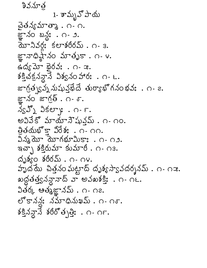1- శామృవ్ పాయ చైతన్యమాత్కా . ౧- ౧. జ్ఞానం బన్ల: . ౧- ౨.  $\bar{a}$   $\bar{b}$   $\sim$  330:  $\pm$   $\pm$   $\pm$  3605 $\bar{b}$  .  $\cap$  3. జ్ఞానాధిష్ట్రం మాతృకా. ౧- ౪.  $\infty$   $\infty$   $\infty$   $\infty$   $\infty$   $\infty$   $\infty$   $\infty$   $\infty$   $\infty$   $\infty$   $\infty$   $\infty$   $\infty$   $\infty$   $\infty$   $\infty$   $\infty$   $\infty$   $\infty$   $\infty$   $\infty$   $\infty$   $\infty$   $\infty$   $\infty$   $\infty$   $\infty$   $\infty$   $\infty$   $\infty$   $\infty$   $\infty$   $\infty$   $\infty$   $\infty$   $\infty$ శక్తిచక్ర వానే విశ్వనం హారః. ౧- ౬. జాగ్రత్వన్న నుష్టువ్తబేదే తుర్యాభోగనంభవ:. ౧- ౭. జ్ఞానం జాగ్రత్ . ౧- ౄ.  $\lambda_S \mathbb{J}$   $\lambda_S$   $\mathbb{S}$   $\mathbb{C}$   $\mathbb{C}$   $\mathbb{C}$   $\mathbb{C}$   $\mathbb{C}$   $\mathbb{C}$   $\mathbb{C}$   $\mathbb{C}$   $\mathbb{C}$   $\mathbb{C}$   $\mathbb{C}$   $\mathbb{C}$   $\mathbb{C}$   $\mathbb{C}$   $\mathbb{C}$   $\mathbb{C}$   $\mathbb{C}$   $\mathbb{C}$   $\mathbb{C}$   $\mathbb{C}$   $\mathbb{C}$   $\mathbb{$ అవివేకో మాయానేషున్ను. ౧- ౧౦. తితయభోకా విరేశ: . ౧- ౧౧.  $3\lambda\lambda\overline{\lambda}$ ນີ  $\overline{\lambda}$ ນາ ກໍ $\mu$ ນີ  $\lambda$ ນີ  $\lambda$  ກະ $\lambda$  ການ. ఇచ్చా శక్తిరుమా కుమారీ . ౧- ౧౩.  $\phi_0$  $\phi_0$   $\phi_1$   $\phi_2$   $\phi_2$   $\phi_3$   $\phi_4$   $\phi_5$   $\phi_6$   $\phi_7$   $\phi_8$   $\phi_9$   $\phi_1$ హృద్దే పిత్తనం ఘట్టాద్ దృశ్యస్వావదర్శనమ్ . ౧- ౧౫. ఖద్దతత్త్వనన్డావాద్ వా అవఖశక్తి: . ౧- ౧౬. వితర్క ఆత్మజ్ఞానమ్ . ౧- ౧౭. లొకానను నమాధినుఖమ్. ౧- ౧ఠ.  $8\frac{3}{2}$  $3\frac{3}{2}$   $860^\circ$ త్పి: . ౧- ౧F.